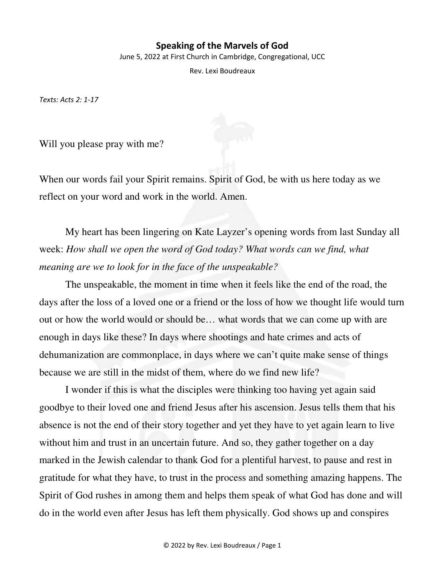## **Speaking of the Marvels of God**

June 5, 2022 at First Church in Cambridge, Congregational, UCC

Rev. Lexi Boudreaux

*Texts: Acts 2: 1-17* 

Will you please pray with me?

When our words fail your Spirit remains. Spirit of God, be with us here today as we reflect on your word and work in the world. Amen.

My heart has been lingering on Kate Layzer's opening words from last Sunday all week: *How shall we open the word of God today? What words can we find, what meaning are we to look for in the face of the unspeakable?*

The unspeakable, the moment in time when it feels like the end of the road, the days after the loss of a loved one or a friend or the loss of how we thought life would turn out or how the world would or should be… what words that we can come up with are enough in days like these? In days where shootings and hate crimes and acts of dehumanization are commonplace, in days where we can't quite make sense of things because we are still in the midst of them, where do we find new life?

I wonder if this is what the disciples were thinking too having yet again said goodbye to their loved one and friend Jesus after his ascension. Jesus tells them that his absence is not the end of their story together and yet they have to yet again learn to live without him and trust in an uncertain future. And so, they gather together on a day marked in the Jewish calendar to thank God for a plentiful harvest, to pause and rest in gratitude for what they have, to trust in the process and something amazing happens. The Spirit of God rushes in among them and helps them speak of what God has done and will do in the world even after Jesus has left them physically. God shows up and conspires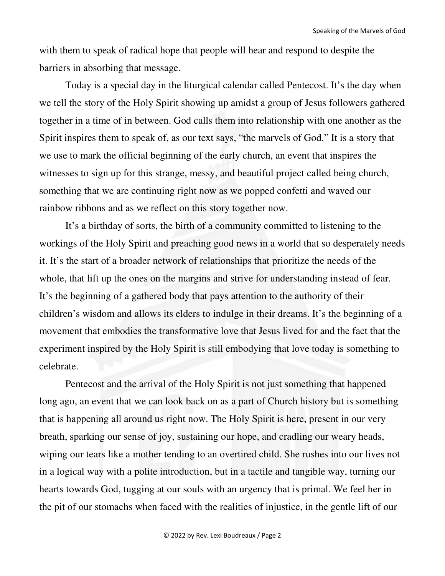with them to speak of radical hope that people will hear and respond to despite the barriers in absorbing that message.

Today is a special day in the liturgical calendar called Pentecost. It's the day when we tell the story of the Holy Spirit showing up amidst a group of Jesus followers gathered together in a time of in between. God calls them into relationship with one another as the Spirit inspires them to speak of, as our text says, "the marvels of God." It is a story that we use to mark the official beginning of the early church, an event that inspires the witnesses to sign up for this strange, messy, and beautiful project called being church, something that we are continuing right now as we popped confetti and waved our rainbow ribbons and as we reflect on this story together now.

It's a birthday of sorts, the birth of a community committed to listening to the workings of the Holy Spirit and preaching good news in a world that so desperately needs it. It's the start of a broader network of relationships that prioritize the needs of the whole, that lift up the ones on the margins and strive for understanding instead of fear. It's the beginning of a gathered body that pays attention to the authority of their children's wisdom and allows its elders to indulge in their dreams. It's the beginning of a movement that embodies the transformative love that Jesus lived for and the fact that the experiment inspired by the Holy Spirit is still embodying that love today is something to celebrate.

Pentecost and the arrival of the Holy Spirit is not just something that happened long ago, an event that we can look back on as a part of Church history but is something that is happening all around us right now. The Holy Spirit is here, present in our very breath, sparking our sense of joy, sustaining our hope, and cradling our weary heads, wiping our tears like a mother tending to an overtired child. She rushes into our lives not in a logical way with a polite introduction, but in a tactile and tangible way, turning our hearts towards God, tugging at our souls with an urgency that is primal. We feel her in the pit of our stomachs when faced with the realities of injustice, in the gentle lift of our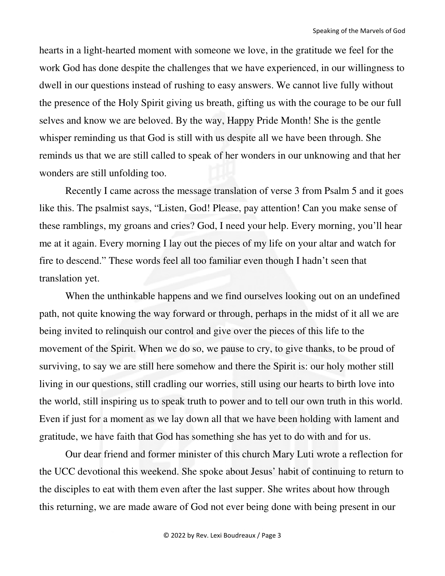hearts in a light-hearted moment with someone we love, in the gratitude we feel for the work God has done despite the challenges that we have experienced, in our willingness to dwell in our questions instead of rushing to easy answers. We cannot live fully without the presence of the Holy Spirit giving us breath, gifting us with the courage to be our full selves and know we are beloved. By the way, Happy Pride Month! She is the gentle whisper reminding us that God is still with us despite all we have been through. She reminds us that we are still called to speak of her wonders in our unknowing and that her wonders are still unfolding too.

 Recently I came across the message translation of verse 3 from Psalm 5 and it goes like this. The psalmist says, "Listen, God! Please, pay attention! Can you make sense of these ramblings, my groans and cries? God, I need your help. Every morning, you'll hear me at it again. Every morning I lay out the pieces of my life on your altar and watch for fire to descend." These words feel all too familiar even though I hadn't seen that translation yet.

When the unthinkable happens and we find ourselves looking out on an undefined path, not quite knowing the way forward or through, perhaps in the midst of it all we are being invited to relinquish our control and give over the pieces of this life to the movement of the Spirit. When we do so, we pause to cry, to give thanks, to be proud of surviving, to say we are still here somehow and there the Spirit is: our holy mother still living in our questions, still cradling our worries, still using our hearts to birth love into the world, still inspiring us to speak truth to power and to tell our own truth in this world. Even if just for a moment as we lay down all that we have been holding with lament and gratitude, we have faith that God has something she has yet to do with and for us.

Our dear friend and former minister of this church Mary Luti wrote a reflection for the UCC devotional this weekend. She spoke about Jesus' habit of continuing to return to the disciples to eat with them even after the last supper. She writes about how through this returning, we are made aware of God not ever being done with being present in our